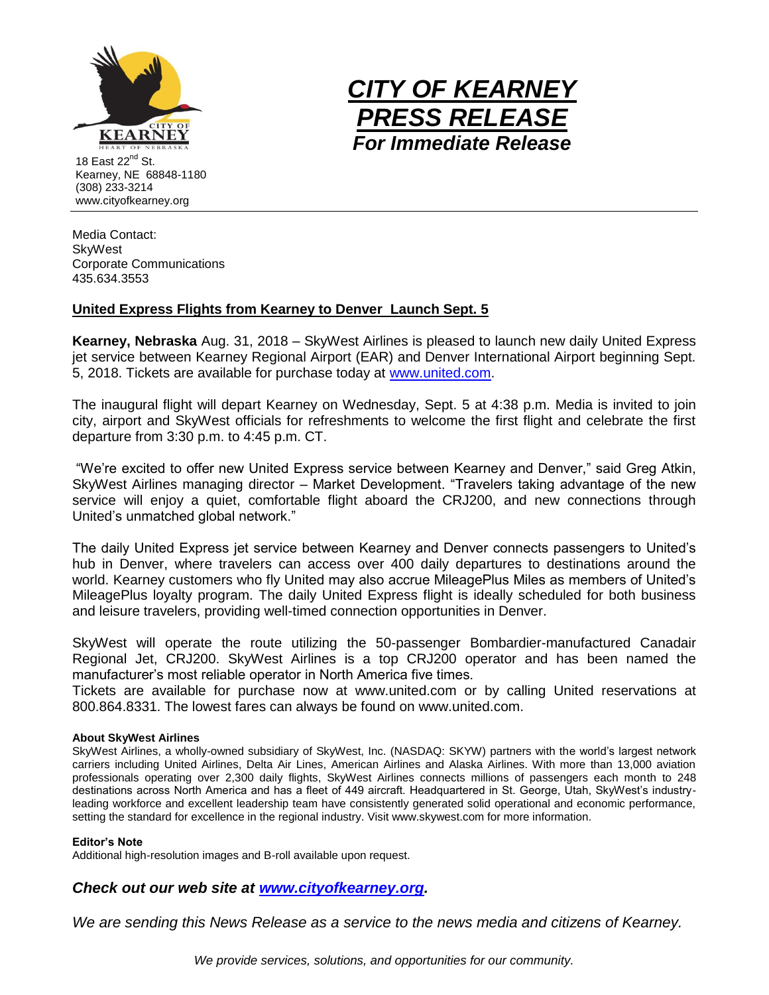

www.cityofkearney.org



Media Contact: **SkyWest** Corporate Communications 435.634.3553

## **United Express Flights from Kearney to Denver Launch Sept. 5**

**Kearney, Nebraska** Aug. 31, 2018 – SkyWest Airlines is pleased to launch new daily United Express jet service between Kearney Regional Airport (EAR) and Denver International Airport beginning Sept. 5, 2018. Tickets are available for purchase today at [www.united.com.](http://www.united.com/)

The inaugural flight will depart Kearney on Wednesday, Sept. 5 at 4:38 p.m. Media is invited to join city, airport and SkyWest officials for refreshments to welcome the first flight and celebrate the first departure from 3:30 p.m. to 4:45 p.m. CT.

"We're excited to offer new United Express service between Kearney and Denver," said Greg Atkin, SkyWest Airlines managing director – Market Development. "Travelers taking advantage of the new service will enjoy a quiet, comfortable flight aboard the CRJ200, and new connections through United's unmatched global network."

The daily United Express jet service between Kearney and Denver connects passengers to United's hub in Denver, where travelers can access over 400 daily departures to destinations around the world. Kearney customers who fly United may also accrue MileagePlus Miles as members of United's MileagePlus loyalty program. The daily United Express flight is ideally scheduled for both business and leisure travelers, providing well-timed connection opportunities in Denver.

SkyWest will operate the route utilizing the 50-passenger Bombardier-manufactured Canadair Regional Jet, CRJ200. SkyWest Airlines is a top CRJ200 operator and has been named the manufacturer's most reliable operator in North America five times.

Tickets are available for purchase now at www.united.com or by calling United reservations at 800.864.8331. The lowest fares can always be found on www.united.com.

## **About SkyWest Airlines**

SkyWest Airlines, a wholly-owned subsidiary of SkyWest, Inc. (NASDAQ: SKYW) partners with the world's largest network carriers including United Airlines, Delta Air Lines, American Airlines and Alaska Airlines. With more than 13,000 aviation professionals operating over 2,300 daily flights, SkyWest Airlines connects millions of passengers each month to 248 destinations across North America and has a fleet of 449 aircraft. Headquartered in St. George, Utah, SkyWest's industryleading workforce and excellent leadership team have consistently generated solid operational and economic performance, setting the standard for excellence in the regional industry. Visit www.skywest.com for more information.

## **Editor's Note**

Additional high-resolution images and B-roll available upon request.

## *Check out our web site at [www.cityofkearney.org.](http://www.cityofkearney.org/)*

*We are sending this News Release as a service to the news media and citizens of Kearney.*

*We provide services, solutions, and opportunities for our community.*